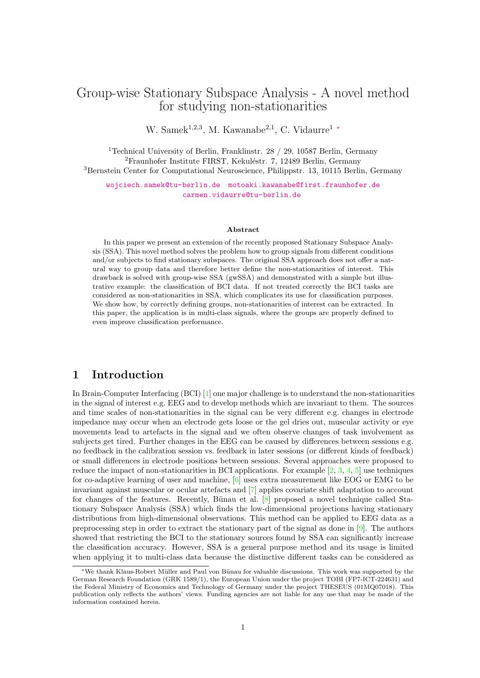# Group-wise Stationary Subspace Analysis - A novel method for studying non-stationarities

W. Samek<sup>1,2,3</sup>, M. Kawanabe<sup>2,1</sup>, C. Vidaurre<sup>1</sup> \*

<sup>1</sup>Technical University of Berlin, Franklinstr. 28 / 29, 10587 Berlin, Germany  ${}^{2}$ Fraunhofer Institute FIRST, Kekuléstr. 7, 12489 Berlin, Germany <sup>3</sup>Bernstein Center for Computational Neuroscience, Philippstr. 13, 10115 Berlin, Germany

[wojciech.samek@tu-berlin.de](mailto:wojciech.samek@tu-berlin) [motoaki.kawanabe@first.fraunhofer.de](mailto:motoaki.kawanabe@first.fraunhofer.de) [carmen.vidaurre@tu-berlin.de](mailto:carmen.vidaurre@tu-berlin.de)

#### Abstract

In this paper we present an extension of the recently proposed Stationary Subspace Analysis (SSA). This novel method solves the problem how to group signals from different conditions and/or subjects to find stationary subspaces. The original SSA approach does not offer a natural way to group data and therefore better define the non-stationarities of interest. This drawback is solved with group-wise SSA (gwSSA) and demonstrated with a simple but illustrative example: the classification of BCI data. If not treated correctly the BCI tasks are considered as non-stationarities in SSA, which complicates its use for classification purposes. We show how, by correctly defining groups, non-stationarities of interest can be extracted. In this paper, the application is in multi-class signals, where the groups are properly defined to even improve classification performance.

#### 1 Introduction

In Brain-Computer Interfacing (BCI) [\[1\]](#page-3-0) one major challenge is to understand the non-stationarities in the signal of interest e.g. EEG and to develop methods which are invariant to them. The sources and time scales of non-stationarities in the signal can be very different e.g. changes in electrode impedance may occur when an electrode gets loose or the gel dries out, muscular activity or eye movements lead to artefacts in the signal and we often observe changes of task involvement as subjects get tired. Further changes in the EEG can be caused by differences between sessions e.g. no feedback in the calibration session vs. feedback in later sessions (or different kinds of feedback) or small differences in electrode positions between sessions. Several approaches were proposed to reduce the impact of non-stationarities in BCI applications. For example  $[2, 3, 4, 5]$  $[2, 3, 4, 5]$  $[2, 3, 4, 5]$  $[2, 3, 4, 5]$  $[2, 3, 4, 5]$  $[2, 3, 4, 5]$  $[2, 3, 4, 5]$  use techniques for co-adaptive learning of user and machine, [\[6\]](#page-3-5) uses extra measurement like EOG or EMG to be invariant against muscular or ocular artefacts and [\[7\]](#page-3-6) applies covariate shift adaptation to account for changes of the features. Recently, Bünau et al.  $[8]$  proposed a novel technique called Stationary Subspace Analysis (SSA) which finds the low-dimensional projections having stationary distributions from high-dimensional observations. This method can be applied to EEG data as a preprocessing step in order to extract the stationary part of the signal as done in [\[9\]](#page-3-8). The authors showed that restricting the BCI to the stationary sources found by SSA can significantly increase the classification accuracy. However, SSA is a general purpose method and its usage is limited when applying it to multi-class data because the distinctive different tasks can be considered as

<span id="page-0-0"></span><sup>∗</sup>We thank Klaus-Robert M¨uller and Paul von B¨unau for valuable discussions. This work was supported by the German Research Foundation (GRK 1589/1), the European Union under the project TOBI (FP7-ICT-224631) and the Federal Ministry of Economics and Technology of Germany under the project THESEUS (01MQ07018). This publication only reflects the authors' views. Funding agencies are not liable for any use that may be made of the information contained herein.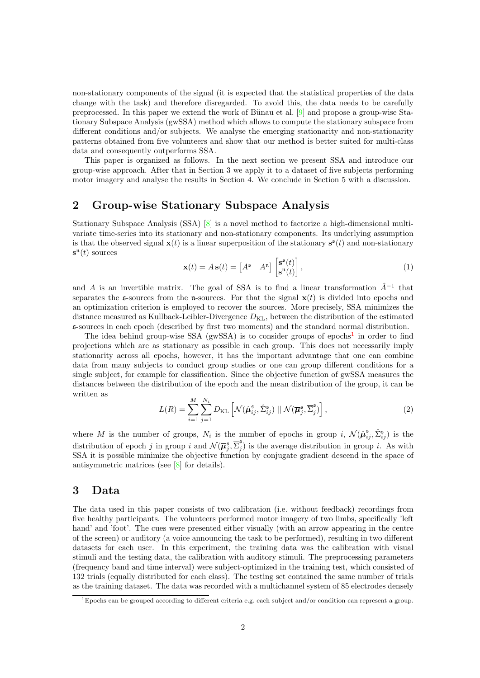non-stationary components of the signal (it is expected that the statistical properties of the data change with the task) and therefore disregarded. To avoid this, the data needs to be carefully preprocessed. In this paper we extend the work of Bünau et al.  $[9]$  and propose a group-wise Stationary Subspace Analysis (gwSSA) method which allows to compute the stationary subspace from different conditions and/or subjects. We analyse the emerging stationarity and non-stationarity patterns obtained from five volunteers and show that our method is better suited for multi-class data and consequently outperforms SSA.

This paper is organized as follows. In the next section we present SSA and introduce our group-wise approach. After that in Section 3 we apply it to a dataset of five subjects performing motor imagery and analyse the results in Section 4. We conclude in Section 5 with a discussion.

### 2 Group-wise Stationary Subspace Analysis

Stationary Subspace Analysis (SSA) [\[8\]](#page-3-7) is a novel method to factorize a high-dimensional multivariate time-series into its stationary and non-stationary components. Its underlying assumption is that the observed signal  $\mathbf{x}(t)$  is a linear superposition of the stationary  $\mathbf{s}^s(t)$  and non-stationary  $\mathbf{s}^{\mathfrak{n}}(t)$  sources

$$
\mathbf{x}(t) = A\,\mathbf{s}(t) = \begin{bmatrix} A^{\mathfrak{s}} & A^{\mathfrak{n}} \end{bmatrix} \begin{bmatrix} \mathbf{s}^{\mathfrak{s}}(t) \\ \mathbf{s}^{\mathfrak{n}}(t) \end{bmatrix},\tag{1}
$$

and A is an invertible matrix. The goal of SSA is to find a linear transformation  $\hat{A}^{-1}$  that separates the s-sources from the n-sources. For that the signal  $x(t)$  is divided into epochs and an optimization criterion is employed to recover the sources. More precisely, SSA minimizes the distance measured as Kullback-Leibler-Divergence  $D_{\text{KL}}$ , between the distribution of the estimated s-sources in each epoch (described by first two moments) and the standard normal distribution.

The idea behind group-wise SSA (gwSSA) is to consider groups of epochs<sup>[1](#page-1-0)</sup> in order to find projections which are as stationary as possible in each group. This does not necessarily imply stationarity across all epochs, however, it has the important advantage that one can combine data from many subjects to conduct group studies or one can group different conditions for a single subject, for example for classification. Since the objective function of gwSSA measures the distances between the distribution of the epoch and the mean distribution of the group, it can be written as

$$
L(R) = \sum_{i=1}^{M} \sum_{j=1}^{N_i} D_{\text{KL}} \left[ \mathcal{N}(\hat{\boldsymbol{\mu}}_{ij}^{\mathfrak{s}}, \hat{\Sigma}_{ij}^{\mathfrak{s}}) \mid \mid \mathcal{N}(\overline{\boldsymbol{\mu}}_{j}^{\mathfrak{s}}, \overline{\Sigma}_{j}^{\mathfrak{s}}) \right],
$$
 (2)

where M is the number of groups,  $N_i$  is the number of epochs in group i,  $\mathcal{N}(\hat{\mu}_{ij}^{\mathfrak{s}}, \hat{\Sigma}_{ij}^{\mathfrak{s}})$  is the distribution of epoch j in group i and  $\mathcal{N}(\overline{\mu}_{j}^{\mathfrak{s}}, \overline{\Sigma}_{j}^{\mathfrak{s}})$  $j$ ) is the average distribution in group *i*. As with SSA it is possible minimize the objective function by conjugate gradient descend in the space of antisymmetric matrices (see [\[8\]](#page-3-7) for details).

### 3 Data

The data used in this paper consists of two calibration (i.e. without feedback) recordings from five healthy participants. The volunteers performed motor imagery of two limbs, specifically 'left hand' and 'foot'. The cues were presented either visually (with an arrow appearing in the centre of the screen) or auditory (a voice announcing the task to be performed), resulting in two different datasets for each user. In this experiment, the training data was the calibration with visual stimuli and the testing data, the calibration with auditory stimuli. The preprocessing parameters (frequency band and time interval) were subject-optimized in the training test, which consisted of 132 trials (equally distributed for each class). The testing set contained the same number of trials as the training dataset. The data was recorded with a multichannel system of 85 electrodes densely

<span id="page-1-0"></span><sup>1</sup>Epochs can be grouped according to different criteria e.g. each subject and/or condition can represent a group.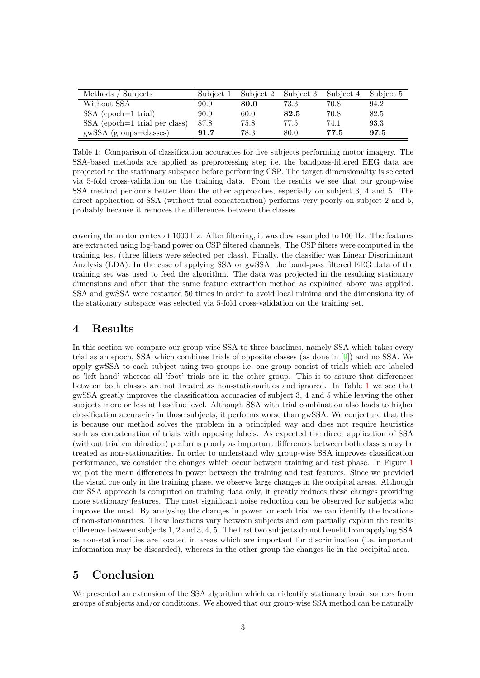| Methods / Subjects              | Subject 1 | Subject 2 | Subject 3 | Subject 4 Subject 5 |      |
|---------------------------------|-----------|-----------|-----------|---------------------|------|
| Without SSA                     | 90.9      | 80.0      | 73.3      | 70.8                | 94.2 |
| $SSA$ (epoch=1 trial)           | 90.9      | 60.0      | 82.5      | 70.8                | 82.5 |
| $SSA$ (epoch=1 trial per class) | 87.8      | 75.8      | 77.5      | 74.1                | 93.3 |
| $gwsSA$ (groups=classes)        | 91.7      | 78.3      | 80.0      | 77.5                | 97.5 |

<span id="page-2-0"></span>Table 1: Comparison of classification accuracies for five subjects performing motor imagery. The SSA-based methods are applied as preprocessing step i.e. the bandpass-filtered EEG data are projected to the stationary subspace before performing CSP. The target dimensionality is selected via 5-fold cross-validation on the training data. From the results we see that our group-wise SSA method performs better than the other approaches, especially on subject 3, 4 and 5. The direct application of SSA (without trial concatenation) performs very poorly on subject 2 and 5, probably because it removes the differences between the classes.

covering the motor cortex at 1000 Hz. After filtering, it was down-sampled to 100 Hz. The features are extracted using log-band power on CSP filtered channels. The CSP filters were computed in the training test (three filters were selected per class). Finally, the classifier was Linear Discriminant Analysis (LDA). In the case of applying SSA or gwSSA, the band-pass filtered EEG data of the training set was used to feed the algorithm. The data was projected in the resulting stationary dimensions and after that the same feature extraction method as explained above was applied. SSA and gwSSA were restarted 50 times in order to avoid local minima and the dimensionality of the stationary subspace was selected via 5-fold cross-validation on the training set.

### 4 Results

In this section we compare our group-wise SSA to three baselines, namely SSA which takes every trial as an epoch, SSA which combines trials of opposite classes (as done in [\[9\]](#page-3-8)) and no SSA. We apply gwSSA to each subject using two groups i.e. one group consist of trials which are labeled as 'left hand' whereas all 'foot' trials are in the other group. This is to assure that differences between both classes are not treated as non-stationarities and ignored. In Table [1](#page-2-0) we see that gwSSA greatly improves the classification accuracies of subject 3, 4 and 5 while leaving the other subjects more or less at baseline level. Although SSA with trial combination also leads to higher classification accuracies in those subjects, it performs worse than gwSSA. We conjecture that this is because our method solves the problem in a principled way and does not require heuristics such as concatenation of trials with opposing labels. As expected the direct application of SSA (without trial combination) performs poorly as important differences between both classes may be treated as non-stationarities. In order to understand why group-wise SSA improves classification performance, we consider the changes which occur between training and test phase. In Figure [1](#page-3-9) we plot the mean differences in power between the training and test features. Since we provided the visual cue only in the training phase, we observe large changes in the occipital areas. Although our SSA approach is computed on training data only, it greatly reduces these changes providing more stationary features. The most significant noise reduction can be observed for subjects who improve the most. By analysing the changes in power for each trial we can identify the locations of non-stationarities. These locations vary between subjects and can partially explain the results difference between subjects 1, 2 and 3, 4, 5. The first two subjects do not benefit from applying SSA as non-stationarities are located in areas which are important for discrimination (i.e. important information may be discarded), whereas in the other group the changes lie in the occipital area.

## 5 Conclusion

We presented an extension of the SSA algorithm which can identify stationary brain sources from groups of subjects and/or conditions. We showed that our group-wise SSA method can be naturally